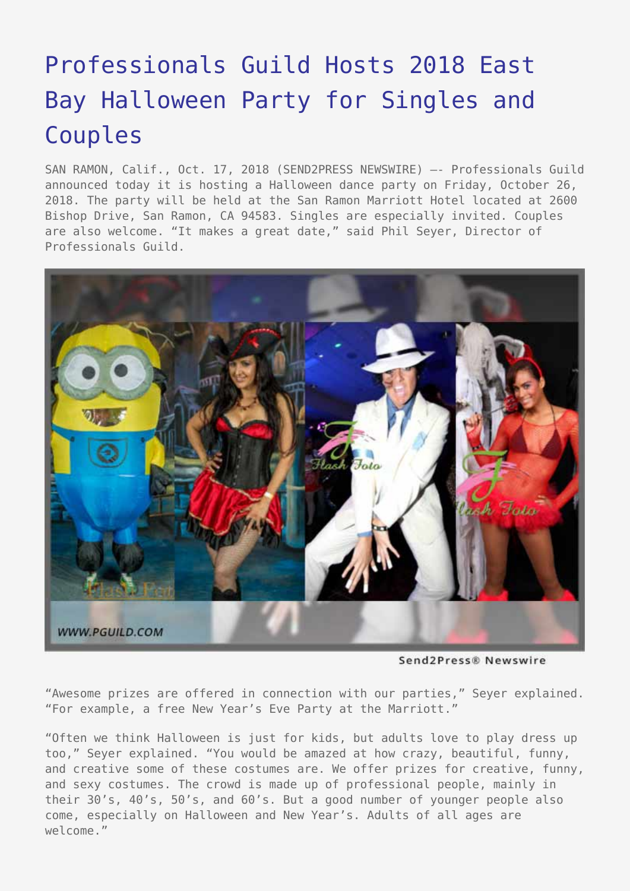## [Professionals Guild Hosts 2018 East](https://www.send2press.com/wire/professionals-guild-hosts-2018-east-bay-halloween-party-for-singles-and-couples/) [Bay Halloween Party for Singles and](https://www.send2press.com/wire/professionals-guild-hosts-2018-east-bay-halloween-party-for-singles-and-couples/) [Couples](https://www.send2press.com/wire/professionals-guild-hosts-2018-east-bay-halloween-party-for-singles-and-couples/)

SAN RAMON, Calif., Oct. 17, 2018 (SEND2PRESS NEWSWIRE) –- Professionals Guild announced today it is hosting a Halloween dance party on Friday, October 26, 2018. The party will be held at the San Ramon Marriott Hotel located at 2600 Bishop Drive, San Ramon, CA 94583. Singles are especially invited. Couples are also welcome. "It makes a great date," said Phil Seyer, Director of Professionals Guild.



Send2Press® Newswire

"Awesome prizes are offered in connection with our parties," Seyer explained. "For example, a free New Year's Eve Party at the Marriott."

"Often we think Halloween is just for kids, but adults love to play dress up too," Seyer explained. "You would be amazed at how crazy, beautiful, funny, and creative some of these costumes are. We offer prizes for creative, funny, and sexy costumes. The crowd is made up of professional people, mainly in their 30's, 40's, 50's, and 60's. But a good number of younger people also come, especially on Halloween and New Year's. Adults of all ages are welcome."